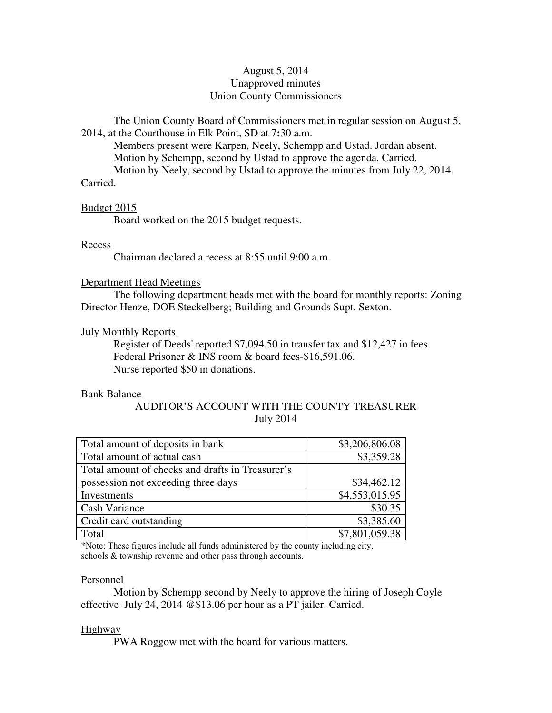# August 5, 2014 Unapproved minutes Union County Commissioners

The Union County Board of Commissioners met in regular session on August 5, 2014, at the Courthouse in Elk Point, SD at 7**:**30 a.m.

 Members present were Karpen, Neely, Schempp and Ustad. Jordan absent. Motion by Schempp, second by Ustad to approve the agenda. Carried. Motion by Neely, second by Ustad to approve the minutes from July 22, 2014. Carried.

#### Budget 2015

Board worked on the 2015 budget requests.

#### Recess

Chairman declared a recess at 8:55 until 9:00 a.m.

## Department Head Meetings

 The following department heads met with the board for monthly reports: Zoning Director Henze, DOE Steckelberg; Building and Grounds Supt. Sexton.

#### July Monthly Reports

 Register of Deeds' reported \$7,094.50 in transfer tax and \$12,427 in fees. Federal Prisoner & INS room & board fees-\$16,591.06. Nurse reported \$50 in donations.

#### Bank Balance

# AUDITOR'S ACCOUNT WITH THE COUNTY TREASURER July 2014

| Total amount of deposits in bank                 | \$3,206,806.08 |
|--------------------------------------------------|----------------|
| Total amount of actual cash                      | \$3,359.28     |
| Total amount of checks and drafts in Treasurer's |                |
| possession not exceeding three days              | \$34,462.12    |
| Investments                                      | \$4,553,015.95 |
| <b>Cash Variance</b>                             | \$30.35        |
| Credit card outstanding                          | \$3,385.60     |
| Total                                            | \$7,801,059.38 |

\*Note: These figures include all funds administered by the county including city, schools & township revenue and other pass through accounts.

#### Personnel

 Motion by Schempp second by Neely to approve the hiring of Joseph Coyle effective July 24, 2014 @\$13.06 per hour as a PT jailer. Carried.

## **Highway**

PWA Roggow met with the board for various matters.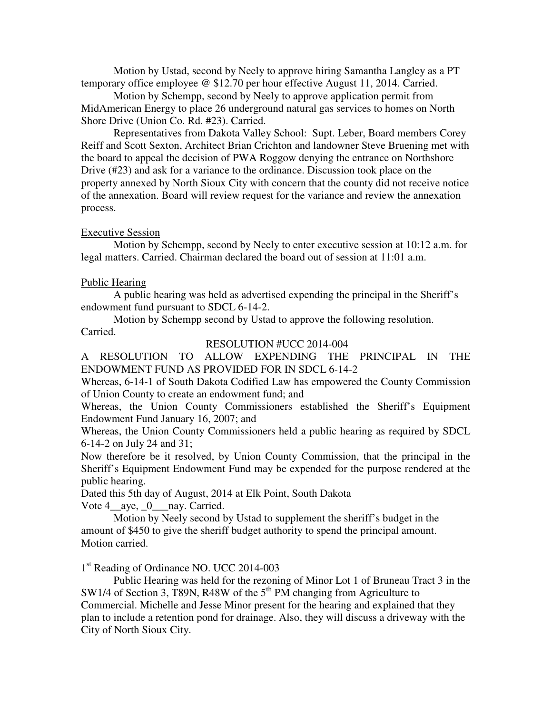Motion by Ustad, second by Neely to approve hiring Samantha Langley as a PT temporary office employee @ \$12.70 per hour effective August 11, 2014. Carried.

 Motion by Schempp, second by Neely to approve application permit from MidAmerican Energy to place 26 underground natural gas services to homes on North Shore Drive (Union Co. Rd. #23). Carried.

 Representatives from Dakota Valley School: Supt. Leber, Board members Corey Reiff and Scott Sexton, Architect Brian Crichton and landowner Steve Bruening met with the board to appeal the decision of PWA Roggow denying the entrance on Northshore Drive (#23) and ask for a variance to the ordinance. Discussion took place on the property annexed by North Sioux City with concern that the county did not receive notice of the annexation. Board will review request for the variance and review the annexation process.

# Executive Session

 Motion by Schempp, second by Neely to enter executive session at 10:12 a.m. for legal matters. Carried. Chairman declared the board out of session at 11:01 a.m.

# Public Hearing

 A public hearing was held as advertised expending the principal in the Sheriff's endowment fund pursuant to SDCL 6-14-2.

 Motion by Schempp second by Ustad to approve the following resolution. Carried.

## RESOLUTION #UCC 2014-004

A RESOLUTION TO ALLOW EXPENDING THE PRINCIPAL IN THE ENDOWMENT FUND AS PROVIDED FOR IN SDCL 6-14-2

Whereas, 6-14-1 of South Dakota Codified Law has empowered the County Commission of Union County to create an endowment fund; and

Whereas, the Union County Commissioners established the Sheriff's Equipment Endowment Fund January 16, 2007; and

Whereas, the Union County Commissioners held a public hearing as required by SDCL 6-14-2 on July 24 and 31;

Now therefore be it resolved, by Union County Commission, that the principal in the Sheriff's Equipment Endowment Fund may be expended for the purpose rendered at the public hearing.

Dated this 5th day of August, 2014 at Elk Point, South Dakota Vote 4 aye, 0 nay. Carried.

 Motion by Neely second by Ustad to supplement the sheriff's budget in the amount of \$450 to give the sheriff budget authority to spend the principal amount. Motion carried.

1<sup>st</sup> Reading of Ordinance NO. UCC 2014-003

 Public Hearing was held for the rezoning of Minor Lot 1 of Bruneau Tract 3 in the SW1/4 of Section 3, T89N, R48W of the  $5<sup>th</sup>$  PM changing from Agriculture to Commercial. Michelle and Jesse Minor present for the hearing and explained that they plan to include a retention pond for drainage. Also, they will discuss a driveway with the City of North Sioux City.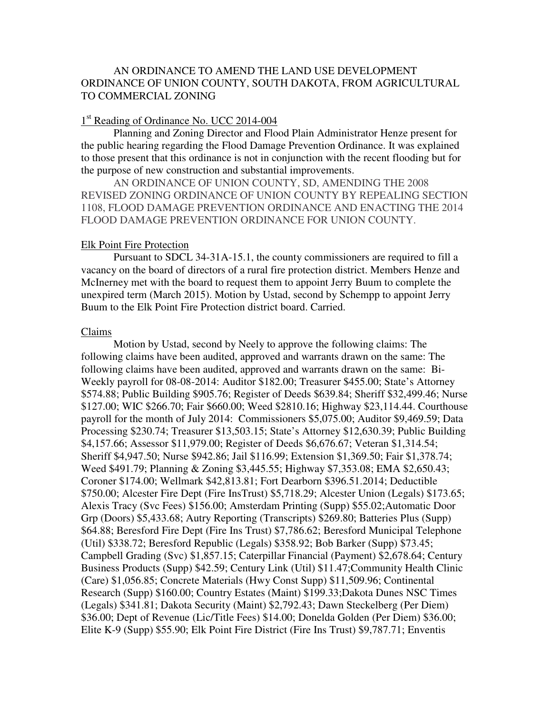# AN ORDINANCE TO AMEND THE LAND USE DEVELOPMENT ORDINANCE OF UNION COUNTY, SOUTH DAKOTA, FROM AGRICULTURAL TO COMMERCIAL ZONING

# 1<sup>st</sup> Reading of Ordinance No. UCC 2014-004

 Planning and Zoning Director and Flood Plain Administrator Henze present for the public hearing regarding the Flood Damage Prevention Ordinance. It was explained to those present that this ordinance is not in conjunction with the recent flooding but for the purpose of new construction and substantial improvements.

AN ORDINANCE OF UNION COUNTY, SD, AMENDING THE 2008 REVISED ZONING ORDINANCE OF UNION COUNTY BY REPEALING SECTION 1108, FLOOD DAMAGE PREVENTION ORDINANCE AND ENACTING THE 2014 FLOOD DAMAGE PREVENTION ORDINANCE FOR UNION COUNTY.

#### Elk Point Fire Protection

 Pursuant to SDCL 34-31A-15.1, the county commissioners are required to fill a vacancy on the board of directors of a rural fire protection district. Members Henze and McInerney met with the board to request them to appoint Jerry Buum to complete the unexpired term (March 2015). Motion by Ustad, second by Schempp to appoint Jerry Buum to the Elk Point Fire Protection district board. Carried.

## Claims

 Motion by Ustad, second by Neely to approve the following claims: The following claims have been audited, approved and warrants drawn on the same: The following claims have been audited, approved and warrants drawn on the same: Bi-Weekly payroll for 08-08-2014: Auditor \$182.00; Treasurer \$455.00; State's Attorney \$574.88; Public Building \$905.76; Register of Deeds \$639.84; Sheriff \$32,499.46; Nurse \$127.00; WIC \$266.70; Fair \$660.00; Weed \$2810.16; Highway \$23,114.44. Courthouse payroll for the month of July 2014: Commissioners \$5,075.00; Auditor \$9,469.59; Data Processing \$230.74; Treasurer \$13,503.15; State's Attorney \$12,630.39; Public Building \$4,157.66; Assessor \$11,979.00; Register of Deeds \$6,676.67; Veteran \$1,314.54; Sheriff \$4,947.50; Nurse \$942.86; Jail \$116.99; Extension \$1,369.50; Fair \$1,378.74; Weed \$491.79; Planning & Zoning \$3,445.55; Highway \$7,353.08; EMA \$2,650.43; Coroner \$174.00; Wellmark \$42,813.81; Fort Dearborn \$396.51.2014; Deductible \$750.00; Alcester Fire Dept (Fire InsTrust) \$5,718.29; Alcester Union (Legals) \$173.65; Alexis Tracy (Svc Fees) \$156.00; Amsterdam Printing (Supp) \$55.02;Automatic Door Grp (Doors) \$5,433.68; Autry Reporting (Transcripts) \$269.80; Batteries Plus (Supp) \$64.88; Beresford Fire Dept (Fire Ins Trust) \$7,786.62; Beresford Municipal Telephone (Util) \$338.72; Beresford Republic (Legals) \$358.92; Bob Barker (Supp) \$73.45; Campbell Grading (Svc) \$1,857.15; Caterpillar Financial (Payment) \$2,678.64; Century Business Products (Supp) \$42.59; Century Link (Util) \$11.47;Community Health Clinic (Care) \$1,056.85; Concrete Materials (Hwy Const Supp) \$11,509.96; Continental Research (Supp) \$160.00; Country Estates (Maint) \$199.33;Dakota Dunes NSC Times (Legals) \$341.81; Dakota Security (Maint) \$2,792.43; Dawn Steckelberg (Per Diem) \$36.00; Dept of Revenue (Lic/Title Fees) \$14.00; Donelda Golden (Per Diem) \$36.00; Elite K-9 (Supp) \$55.90; Elk Point Fire District (Fire Ins Trust) \$9,787.71; Enventis